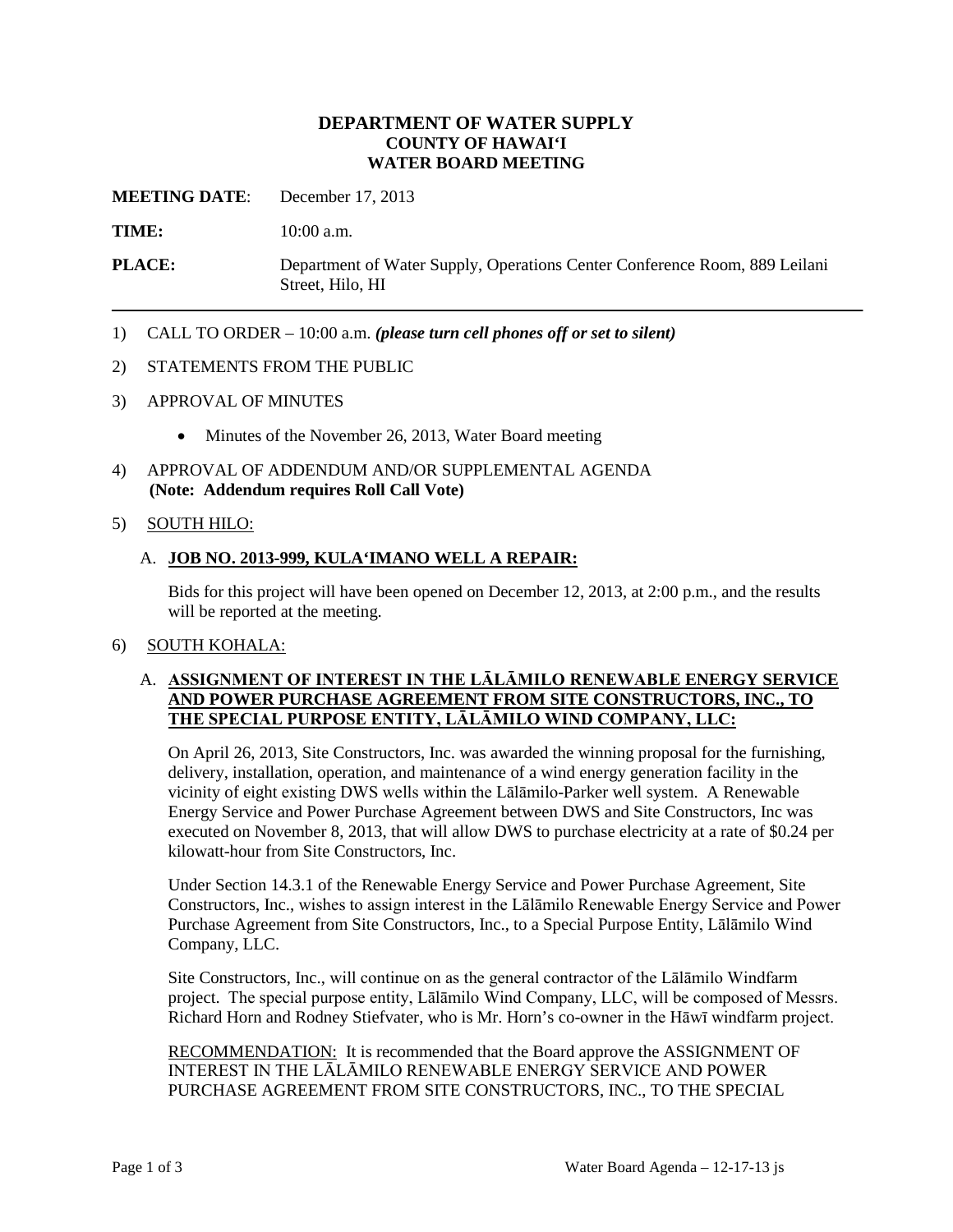# **DEPARTMENT OF WATER SUPPLY COUNTY OF HAWAI'I WATER BOARD MEETING**

**MEETING DATE**: December 17, 2013

**TIME:** 10:00 a.m.

**PLACE:** Department of Water Supply, Operations Center Conference Room, 889 Leilani Street, Hilo, HI

1) CALL TO ORDER – 10:00 a.m. *(please turn cell phones off or set to silent)*

#### 2) STATEMENTS FROM THE PUBLIC

- 3) APPROVAL OF MINUTES
	- Minutes of the November 26, 2013, Water Board meeting
- 4) APPROVAL OF ADDENDUM AND/OR SUPPLEMENTAL AGENDA **(Note: Addendum requires Roll Call Vote)**

# 5) SOUTH HILO:

# A. **JOB NO. 2013-999, KULA'IMANO WELL A REPAIR:**

Bids for this project will have been opened on December 12, 2013, at 2:00 p.m., and the results will be reported at the meeting.

#### 6) SOUTH KOHALA:

# A. **ASSIGNMENT OF INTEREST IN THE LĀLĀMILO RENEWABLE ENERGY SERVICE AND POWER PURCHASE AGREEMENT FROM SITE CONSTRUCTORS, INC., TO THE SPECIAL PURPOSE ENTITY, LĀLĀMILO WIND COMPANY, LLC:**

On April 26, 2013, Site Constructors, Inc. was awarded the winning proposal for the furnishing, delivery, installation, operation, and maintenance of a wind energy generation facility in the vicinity of eight existing DWS wells within the Lālāmilo-Parker well system. A Renewable Energy Service and Power Purchase Agreement between DWS and Site Constructors, Inc was executed on November 8, 2013, that will allow DWS to purchase electricity at a rate of \$0.24 per kilowatt-hour from Site Constructors, Inc.

Under Section 14.3.1 of the Renewable Energy Service and Power Purchase Agreement, Site Constructors, Inc., wishes to assign interest in the Lālāmilo Renewable Energy Service and Power Purchase Agreement from Site Constructors, Inc., to a Special Purpose Entity, Lālāmilo Wind Company, LLC.

Site Constructors, Inc., will continue on as the general contractor of the Lālāmilo Windfarm project. The special purpose entity, Lālāmilo Wind Company, LLC, will be composed of Messrs. Richard Horn and Rodney Stiefvater, who is Mr. Horn's co-owner in the Hāwī windfarm project.

RECOMMENDATION: It is recommended that the Board approve the ASSIGNMENT OF INTEREST IN THE LĀLĀMILO RENEWABLE ENERGY SERVICE AND POWER PURCHASE AGREEMENT FROM SITE CONSTRUCTORS, INC., TO THE SPECIAL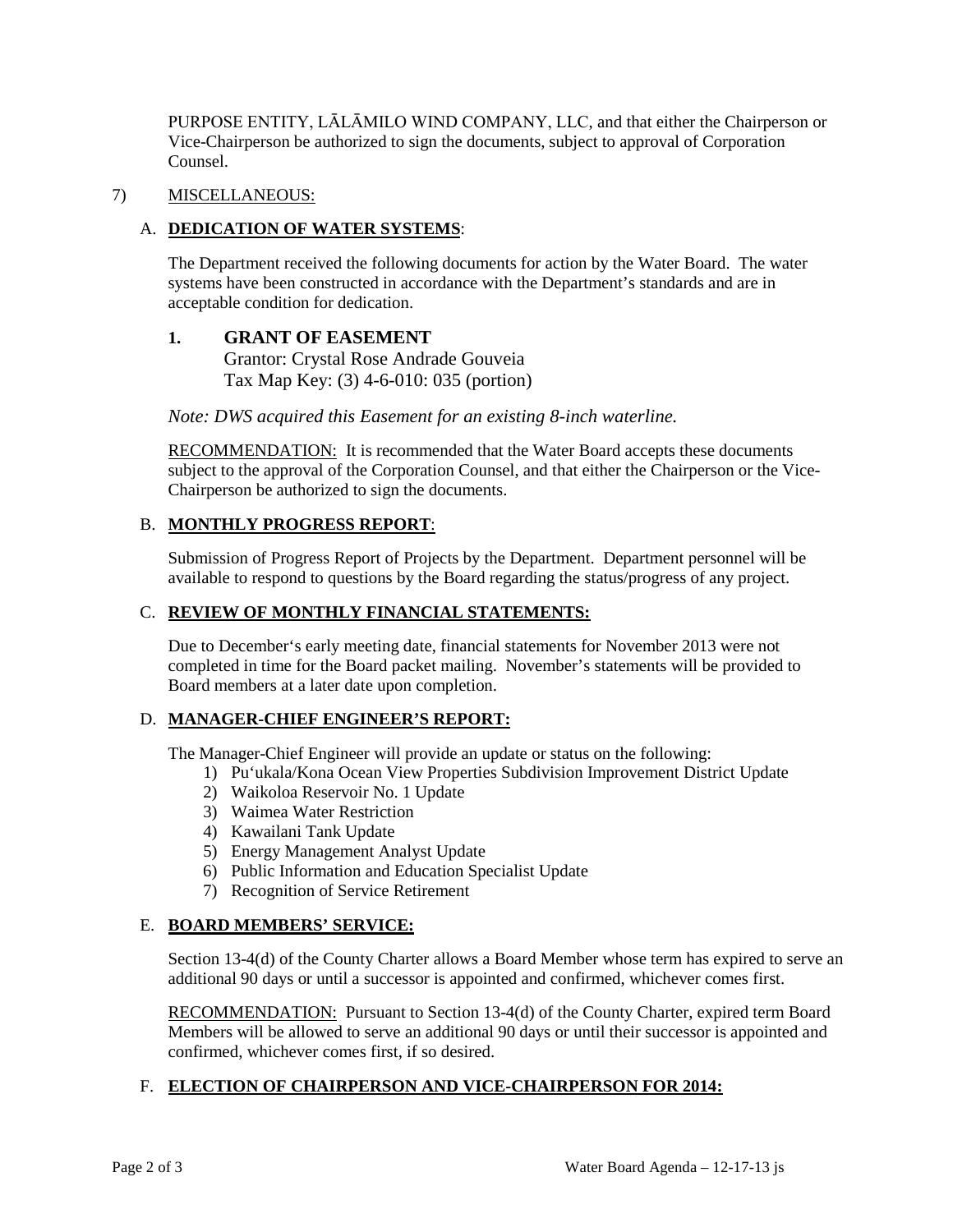PURPOSE ENTITY, LĀLĀMILO WIND COMPANY, LLC, and that either the Chairperson or Vice-Chairperson be authorized to sign the documents, subject to approval of Corporation Counsel.

# 7) MISCELLANEOUS:

# A. **DEDICATION OF WATER SYSTEMS**:

The Department received the following documents for action by the Water Board. The water systems have been constructed in accordance with the Department's standards and are in acceptable condition for dedication.

# **1. GRANT OF EASEMENT** Grantor: Crystal Rose Andrade Gouveia Tax Map Key: (3) 4-6-010: 035 (portion)

*Note: DWS acquired this Easement for an existing 8-inch waterline.*

RECOMMENDATION: It is recommended that the Water Board accepts these documents subject to the approval of the Corporation Counsel, and that either the Chairperson or the Vice-Chairperson be authorized to sign the documents.

# B. **MONTHLY PROGRESS REPORT**:

Submission of Progress Report of Projects by the Department. Department personnel will be available to respond to questions by the Board regarding the status/progress of any project.

# C. **REVIEW OF MONTHLY FINANCIAL STATEMENTS:**

Due to December's early meeting date, financial statements for November 2013 were not completed in time for the Board packet mailing. November's statements will be provided to Board members at a later date upon completion.

# D. **MANAGER-CHIEF ENGINEER'S REPORT:**

The Manager-Chief Engineer will provide an update or status on the following:

- 1) Pu'ukala/Kona Ocean View Properties Subdivision Improvement District Update
- 2) Waikoloa Reservoir No. 1 Update
- 3) Waimea Water Restriction
- 4) Kawailani Tank Update
- 5) Energy Management Analyst Update
- 6) Public Information and Education Specialist Update
- 7) Recognition of Service Retirement

# E. **BOARD MEMBERS' SERVICE:**

Section 13-4(d) of the County Charter allows a Board Member whose term has expired to serve an additional 90 days or until a successor is appointed and confirmed, whichever comes first.

RECOMMENDATION: Pursuant to Section 13-4(d) of the County Charter, expired term Board Members will be allowed to serve an additional 90 days or until their successor is appointed and confirmed, whichever comes first, if so desired.

#### F. **ELECTION OF CHAIRPERSON AND VICE-CHAIRPERSON FOR 2014:**